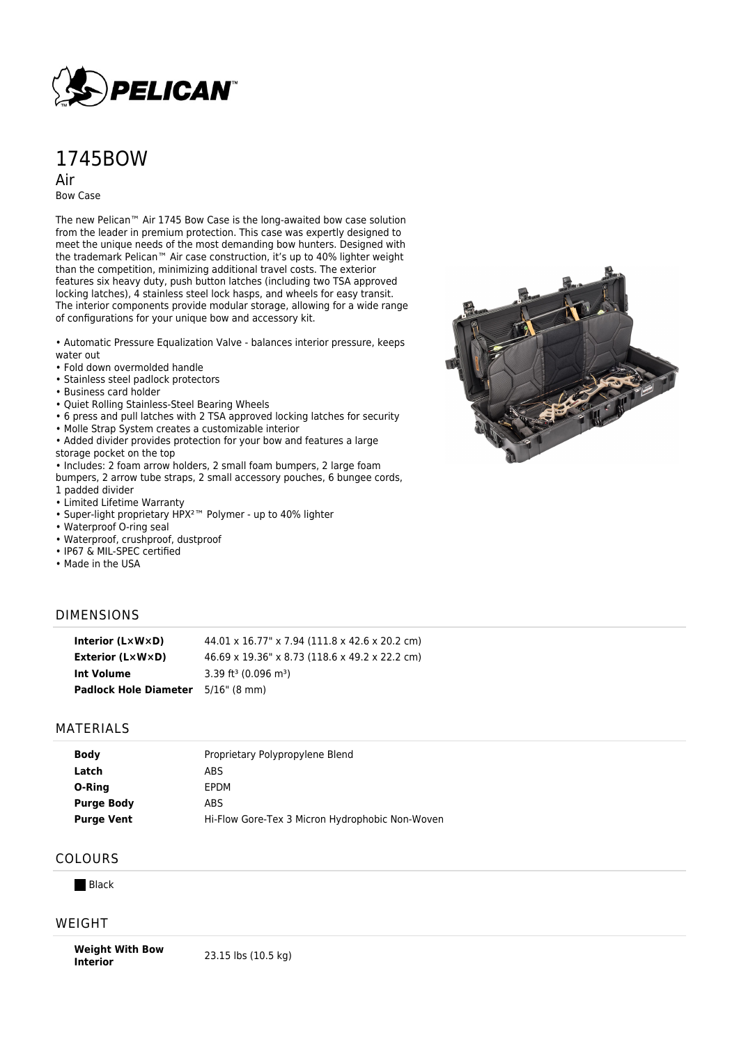

# 1745BOW

Air

Bow Case

The new Pelican™ Air 1745 Bow Case is the long-awaited bow case solution from the leader in premium protection. This case was expertly designed to meet the unique needs of the most demanding bow hunters. Designed with the trademark Pelican™ Air case construction, it's up to 40% lighter weight than the competition, minimizing additional travel costs. The exterior features six heavy duty, push button latches (including two TSA approved locking latches), 4 stainless steel lock hasps, and wheels for easy transit. The interior components provide modular storage, allowing for a wide range of configurations for your unique bow and accessory kit.

• Automatic Pressure Equalization Valve - balances interior pressure, keeps water out

- Fold down overmolded handle
- Stainless steel padlock protectors
- Business card holder
- Quiet Rolling Stainless-Steel Bearing Wheels
- 6 press and pull latches with 2 TSA approved locking latches for security
- Molle Strap System creates a customizable interior
- Added divider provides protection for your bow and features a large

storage pocket on the top

- Includes: 2 foam arrow holders, 2 small foam bumpers, 2 large foam
- bumpers, 2 arrow tube straps, 2 small accessory pouches, 6 bungee cords, 1 padded divider
- Limited Lifetime Warranty
- Super-light proprietary HPX²™ Polymer up to 40% lighter
- Waterproof O-ring seal
- Waterproof, crushproof, dustproof
- IP67 & MIL-SPEC certified
- Made in the USA

### DIMENSIONS

| Interior $(L \times W \times D)$          | 44.01 x 16.77" x 7.94 (111.8 x 42.6 x 20.2 cm) |
|-------------------------------------------|------------------------------------------------|
| Exterior (L×W×D)                          | 46.69 x 19.36" x 8.73 (118.6 x 49.2 x 22.2 cm) |
| Int Volume                                | 3.39 ft <sup>3</sup> (0.096 m <sup>3</sup> )   |
| <b>Padlock Hole Diameter</b> 5/16" (8 mm) |                                                |

#### MATERIALS

| <b>Body</b>       | Proprietary Polypropylene Blend                 |
|-------------------|-------------------------------------------------|
| Latch             | ABS                                             |
| O-Ring            | EPDM                                            |
| <b>Purge Body</b> | ABS                                             |
| <b>Purge Vent</b> | Hi-Flow Gore-Tex 3 Micron Hydrophobic Non-Woven |

## COLOURS

**Black** 

#### WEIGHT

**Weight With Bow Interior Interior** 23.15 lbs (10.5 kg)